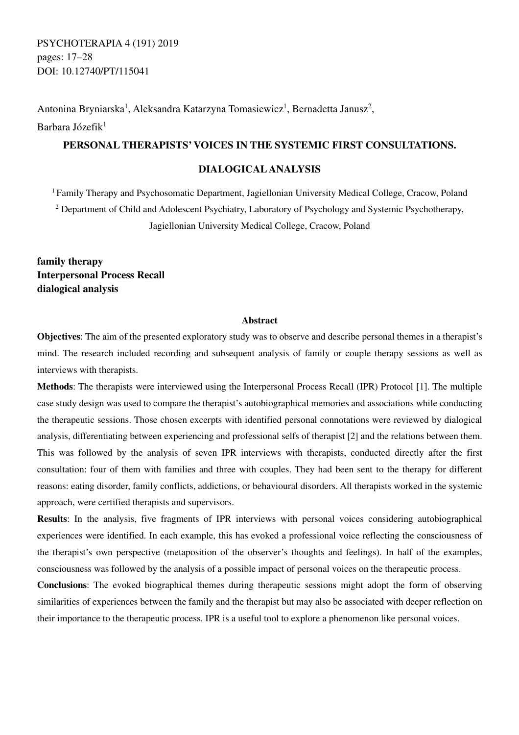PSYCHOTERAPIA 4 (191) 2019 pages: 17–28 DOI: 10.12740/PT/115041

Antonina Bryniarska<sup>1</sup>, Aleksandra Katarzyna Tomasiewicz<sup>1</sup>, Bernadetta Janusz<sup>2</sup>, Barbara Józefik<sup>1</sup>

## **PERSONAL THERAPISTS' VOICES IN THE SYSTEMIC FIRST CONSULTATIONS.**

## **DIALOGICAL ANALYSIS**

<sup>1</sup> Family Therapy and Psychosomatic Department, Jagiellonian University Medical College, Cracow, Poland <sup>2</sup> Department of Child and Adolescent Psychiatry, Laboratory of Psychology and Systemic Psychotherapy, Jagiellonian University Medical College, Cracow, Poland

**family therapy Interpersonal Process Recall dialogical analysis** 

### **Abstract**

**Objectives**: The aim of the presented exploratory study was to observe and describe personal themes in a therapist's mind. The research included recording and subsequent analysis of family or couple therapy sessions as well as interviews with therapists.

**Methods**: The therapists were interviewed using the Interpersonal Process Recall (IPR) Protocol [1]. The multiple case study design was used to compare the therapist's autobiographical memories and associations while conducting the therapeutic sessions. Those chosen excerpts with identified personal connotations were reviewed by dialogical analysis, differentiating between experiencing and professional selfs of therapist [2] and the relations between them. This was followed by the analysis of seven IPR interviews with therapists, conducted directly after the first consultation: four of them with families and three with couples. They had been sent to the therapy for different reasons: eating disorder, family conflicts, addictions, or behavioural disorders. All therapists worked in the systemic approach, were certified therapists and supervisors.

**Results**: In the analysis, five fragments of IPR interviews with personal voices considering autobiographical experiences were identified. In each example, this has evoked a professional voice reflecting the consciousness of the therapist's own perspective (metaposition of the observer's thoughts and feelings). In half of the examples, consciousness was followed by the analysis of a possible impact of personal voices on the therapeutic process.

**Conclusions**: The evoked biographical themes during therapeutic sessions might adopt the form of observing similarities of experiences between the family and the therapist but may also be associated with deeper reflection on their importance to the therapeutic process. IPR is a useful tool to explore a phenomenon like personal voices.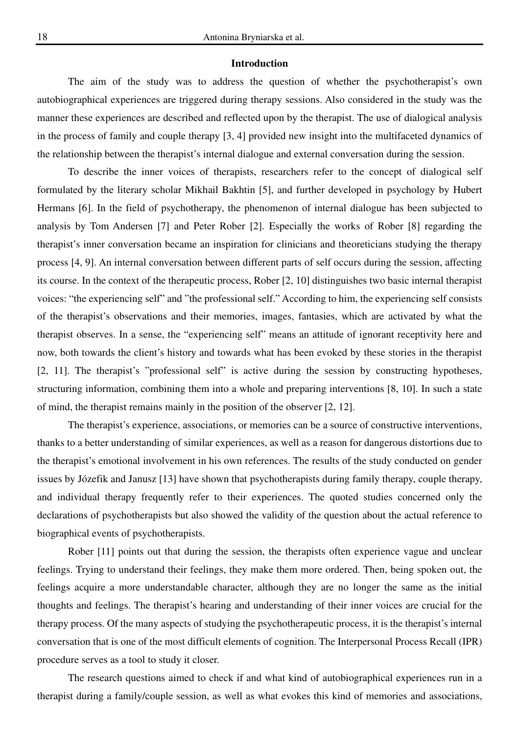## **Introduction**

The aim of the study was to address the question of whether the psychotherapist's own autobiographical experiences are triggered during therapy sessions. Also considered in the study was the manner these experiences are described and reflected upon by the therapist. The use of dialogical analysis in the process of family and couple therapy [3, 4] provided new insight into the multifaceted dynamics of the relationship between the therapist's internal dialogue and external conversation during the session.

To describe the inner voices of therapists, researchers refer to the concept of dialogical self formulated by the literary scholar Mikhail Bakhtin [5], and further developed in psychology by Hubert Hermans [6]. In the field of psychotherapy, the phenomenon of internal dialogue has been subjected to analysis by Tom Andersen [7] and Peter Rober [2]. Especially the works of Rober [8] regarding the therapist's inner conversation became an inspiration for clinicians and theoreticians studying the therapy process [4, 9]. An internal conversation between different parts of self occurs during the session, affecting its course. In the context of the therapeutic process, Rober [2, 10] distinguishes two basic internal therapist voices: "the experiencing self" and "the professional self." According to him, the experiencing self consists of the therapist's observations and their memories, images, fantasies, which are activated by what the therapist observes. In a sense, the "experiencing self" means an attitude of ignorant receptivity here and now, both towards the client's history and towards what has been evoked by these stories in the therapist [2, 11]. The therapist's "professional self" is active during the session by constructing hypotheses, structuring information, combining them into a whole and preparing interventions [8, 10]. In such a state of mind, the therapist remains mainly in the position of the observer [2, 12].

The therapist's experience, associations, or memories can be a source of constructive interventions, thanks to a better understanding of similar experiences, as well as a reason for dangerous distortions due to the therapist's emotional involvement in his own references. The results of the study conducted on gender issues by Józefik and Janusz [13] have shown that psychotherapists during family therapy, couple therapy, and individual therapy frequently refer to their experiences. The quoted studies concerned only the declarations of psychotherapists but also showed the validity of the question about the actual reference to biographical events of psychotherapists.

Rober [11] points out that during the session, the therapists often experience vague and unclear feelings. Trying to understand their feelings, they make them more ordered. Then, being spoken out, the feelings acquire a more understandable character, although they are no longer the same as the initial thoughts and feelings. The therapist's hearing and understanding of their inner voices are crucial for the therapy process. Of the many aspects of studying the psychotherapeutic process, it is the therapist's internal conversation that is one of the most difficult elements of cognition. The Interpersonal Process Recall (IPR) procedure serves as a tool to study it closer.

The research questions aimed to check if and what kind of autobiographical experiences run in a therapist during a family/couple session, as well as what evokes this kind of memories and associations,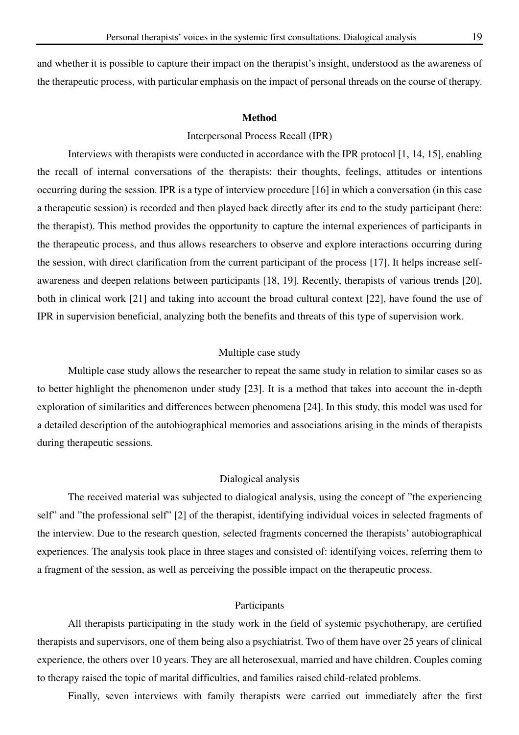and whether it is possible to capture their impact on the therapist's insight, understood as the awareness of the therapeutic process, with particular emphasis on the impact of personal threads on the course of therapy.

#### **Method**

### Interpersonal Process Recall (IPR)

Interviews with therapists were conducted in accordance with the IPR protocol [1, 14, 15], enabling the recall of internal conversations of the therapists: their thoughts, feelings, attitudes or intentions occurring during the session. IPR is a type of interview procedure [16] in which a conversation (in this case a therapeutic session) is recorded and then played back directly after its end to the study participant (here: the therapist). This method provides the opportunity to capture the internal experiences of participants in the therapeutic process, and thus allows researchers to observe and explore interactions occurring during the session, with direct clarification from the current participant of the process [17]. It helps increase selfawareness and deepen relations between participants [18, 19]. Recently, therapists of various trends [20], both in clinical work [21] and taking into account the broad cultural context [22], have found the use of IPR in supervision beneficial, analyzing both the benefits and threats of this type of supervision work.

#### Multiple case study

Multiple case study allows the researcher to repeat the same study in relation to similar cases so as to better highlight the phenomenon under study [23]. It is a method that takes into account the in-depth exploration of similarities and differences between phenomena [24]. In this study, this model was used for a detailed description of the autobiographical memories and associations arising in the minds of therapists during therapeutic sessions.

#### Dialogical analysis

The received material was subjected to dialogical analysis, using the concept of "the experiencing self" and "the professional self" [2] of the therapist, identifying individual voices in selected fragments of the interview. Due to the research question, selected fragments concerned the therapists' autobiographical experiences. The analysis took place in three stages and consisted of: identifying voices, referring them to a fragment of the session, as well as perceiving the possible impact on the therapeutic process.

### Participants

All therapists participating in the study work in the field of systemic psychotherapy, are certified therapists and supervisors, one of them being also a psychiatrist. Two of them have over 25 years of clinical experience, the others over 10 years. They are all heterosexual, married and have children. Couples coming to therapy raised the topic of marital difficulties, and families raised child-related problems.

Finally, seven interviews with family therapists were carried out immediately after the first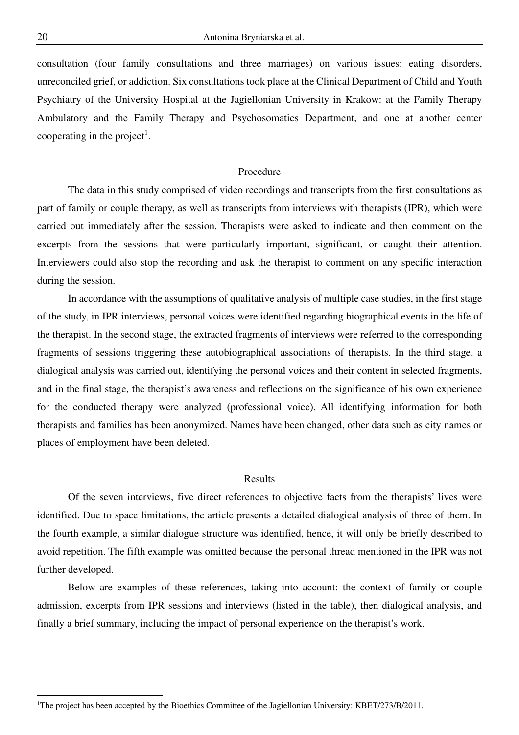consultation (four family consultations and three marriages) on various issues: eating disorders, unreconciled grief, or addiction. Six consultations took place at the Clinical Department of Child and Youth Psychiatry of the University Hospital at the Jagiellonian University in Krakow: at the Family Therapy Ambulatory and the Family Therapy and Psychosomatics Department, and one at another center cooperating in the project<sup>1</sup>.

#### Procedure

The data in this study comprised of video recordings and transcripts from the first consultations as part of family or couple therapy, as well as transcripts from interviews with therapists (IPR), which were carried out immediately after the session. Therapists were asked to indicate and then comment on the excerpts from the sessions that were particularly important, significant, or caught their attention. Interviewers could also stop the recording and ask the therapist to comment on any specific interaction during the session.

In accordance with the assumptions of qualitative analysis of multiple case studies, in the first stage of the study, in IPR interviews, personal voices were identified regarding biographical events in the life of the therapist. In the second stage, the extracted fragments of interviews were referred to the corresponding fragments of sessions triggering these autobiographical associations of therapists. In the third stage, a dialogical analysis was carried out, identifying the personal voices and their content in selected fragments, and in the final stage, the therapist's awareness and reflections on the significance of his own experience for the conducted therapy were analyzed (professional voice). All identifying information for both therapists and families has been anonymized. Names have been changed, other data such as city names or places of employment have been deleted.

#### Results

Of the seven interviews, five direct references to objective facts from the therapists' lives were identified. Due to space limitations, the article presents a detailed dialogical analysis of three of them. In the fourth example, a similar dialogue structure was identified, hence, it will only be briefly described to avoid repetition. The fifth example was omitted because the personal thread mentioned in the IPR was not further developed.

Below are examples of these references, taking into account: the context of family or couple admission, excerpts from IPR sessions and interviews (listed in the table), then dialogical analysis, and finally a brief summary, including the impact of personal experience on the therapist's work.

<sup>&</sup>lt;sup>1</sup>The project has been accepted by the Bioethics Committee of the Jagiellonian University: KBET/273/B/2011.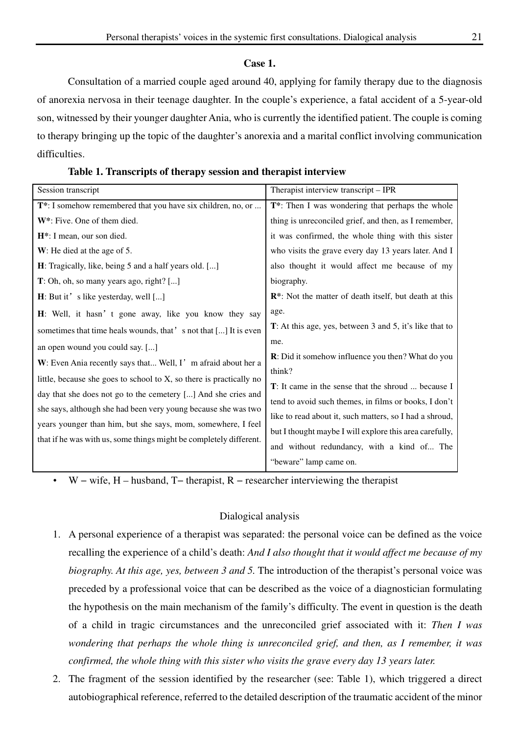### **Case 1.**

Consultation of a married couple aged around 40, applying for family therapy due to the diagnosis of anorexia nervosa in their teenage daughter. In the couple's experience, a fatal accident of a 5-year-old son, witnessed by their younger daughter Ania, who is currently the identified patient. The couple is coming to therapy bringing up the topic of the daughter's anorexia and a marital conflict involving communication difficulties.

**Table 1. Transcripts of therapy session and therapist interview** 

W – wife, H – husband, T– therapist, R – researcher interviewing the therapist

## Dialogical analysis

- 1. A personal experience of a therapist was separated: the personal voice can be defined as the voice recalling the experience of a child's death: *And I also thought that it would affect me because of my biography. At this age, yes, between 3 and 5.* The introduction of the therapist's personal voice was preceded by a professional voice that can be described as the voice of a diagnostician formulating the hypothesis on the main mechanism of the family's difficulty. The event in question is the death of a child in tragic circumstances and the unreconciled grief associated with it: *Then I was wondering that perhaps the whole thing is unreconciled grief, and then, as I remember, it was confirmed, the whole thing with this sister who visits the grave every day 13 years later.*
- 2. The fragment of the session identified by the researcher (see: Table 1), which triggered a direct autobiographical reference, referred to the detailed description of the traumatic accident of the minor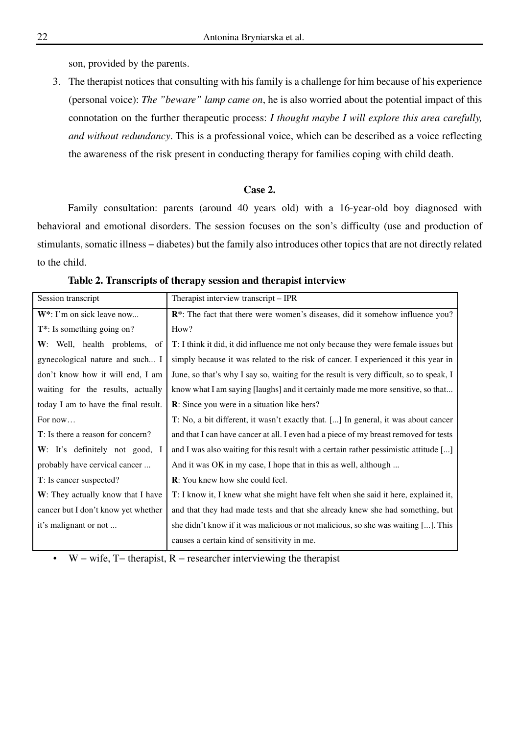son, provided by the parents.

3. The therapist notices that consulting with his family is a challenge for him because of his experience (personal voice): *The "beware" lamp came on*, he is also worried about the potential impact of this connotation on the further therapeutic process: *I thought maybe I will explore this area carefully, and without redundancy*. This is a professional voice, which can be described as a voice reflecting the awareness of the risk present in conducting therapy for families coping with child death.

## **Case 2.**

Family consultation: parents (around 40 years old) with a 16-year-old boy diagnosed with behavioral and emotional disorders. The session focuses on the son's difficulty (use and production of stimulants, somatic illness – diabetes) but the family also introduces other topics that are not directly related to the child.

| Session transcript                        | Therapist interview transcript – IPR                                                   |  |  |  |
|-------------------------------------------|----------------------------------------------------------------------------------------|--|--|--|
| $W^*$ : I'm on sick leave now             | <b>R</b> *: The fact that there were women's diseases, did it somehow influence you?   |  |  |  |
| $T^*$ : Is something going on?            | How?                                                                                   |  |  |  |
| W: Well, health problems, of              | T: I think it did, it did influence me not only because they were female issues but    |  |  |  |
| gynecological nature and such I           | simply because it was related to the risk of cancer. I experienced it this year in     |  |  |  |
| don't know how it will end, I am          | June, so that's why I say so, waiting for the result is very difficult, so to speak, I |  |  |  |
| waiting for the results, actually         | know what I am saying [laughs] and it certainly made me more sensitive, so that        |  |  |  |
| today I am to have the final result.      | <b>R</b> : Since you were in a situation like hers?                                    |  |  |  |
| For now                                   | T: No, a bit different, it wasn't exactly that. [] In general, it was about cancer     |  |  |  |
| <b>T</b> : Is there a reason for concern? | and that I can have cancer at all. I even had a piece of my breast removed for tests   |  |  |  |
| W: It's definitely not good, I            | and I was also waiting for this result with a certain rather pessimistic attitude []   |  |  |  |
| probably have cervical cancer             | And it was OK in my case, I hope that in this as well, although                        |  |  |  |
| <b>T</b> : Is cancer suspected?           | <b>R</b> : You knew how she could feel.                                                |  |  |  |
| W: They actually know that I have         | T: I know it, I knew what she might have felt when she said it here, explained it,     |  |  |  |
| cancer but I don't know yet whether       | and that they had made tests and that she already knew she had something, but          |  |  |  |
| it's malignant or not                     | she didn't know if it was malicious or not malicious, so she was waiting []. This      |  |  |  |
|                                           | causes a certain kind of sensitivity in me.                                            |  |  |  |

#### **Table 2. Transcripts of therapy session and therapist interview**

W – wife,  $T-$  therapist,  $R -$  researcher interviewing the therapist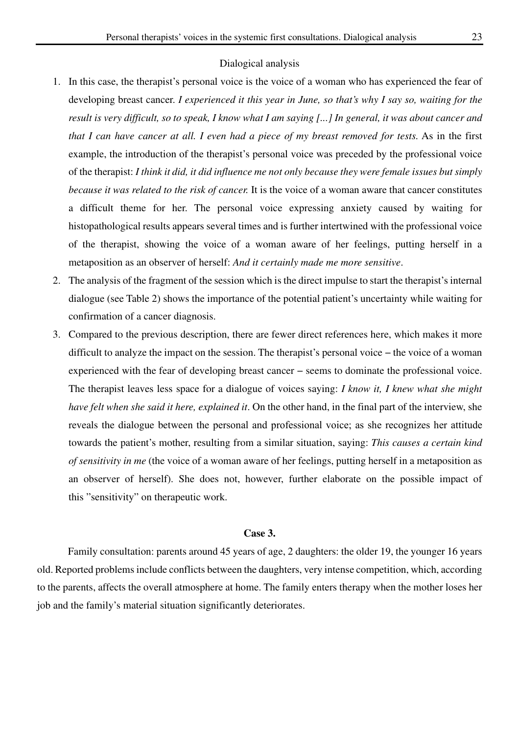#### Dialogical analysis

- 1. In this case, the therapist's personal voice is the voice of a woman who has experienced the fear of developing breast cancer. *I experienced it this year in June, so that's why I say so, waiting for the result is very difficult, so to speak, I know what I am saying [...] In general, it was about cancer and that I can have cancer at all. I even had a piece of my breast removed for tests.* As in the first example, the introduction of the therapist's personal voice was preceded by the professional voice of the therapist: *I think it did, it did influence me not only because they were female issues but simply because it was related to the risk of cancer.* It is the voice of a woman aware that cancer constitutes a difficult theme for her. The personal voice expressing anxiety caused by waiting for histopathological results appears several times and is further intertwined with the professional voice of the therapist, showing the voice of a woman aware of her feelings, putting herself in a metaposition as an observer of herself: *And it certainly made me more sensitive*.
- 2. The analysis of the fragment of the session which is the direct impulse to start the therapist's internal dialogue (see Table 2) shows the importance of the potential patient's uncertainty while waiting for confirmation of a cancer diagnosis.
- 3. Compared to the previous description, there are fewer direct references here, which makes it more difficult to analyze the impact on the session. The therapist's personal voice − the voice of a woman experienced with the fear of developing breast cancer − seems to dominate the professional voice. The therapist leaves less space for a dialogue of voices saying: *I know it, I knew what she might have felt when she said it here, explained it*. On the other hand, in the final part of the interview, she reveals the dialogue between the personal and professional voice; as she recognizes her attitude towards the patient's mother, resulting from a similar situation, saying: *This causes a certain kind of sensitivity in me* (the voice of a woman aware of her feelings, putting herself in a metaposition as an observer of herself). She does not, however, further elaborate on the possible impact of this "sensitivity" on therapeutic work.

## **Case 3.**

Family consultation: parents around 45 years of age, 2 daughters: the older 19, the younger 16 years old. Reported problems include conflicts between the daughters, very intense competition, which, according to the parents, affects the overall atmosphere at home. The family enters therapy when the mother loses her job and the family's material situation significantly deteriorates.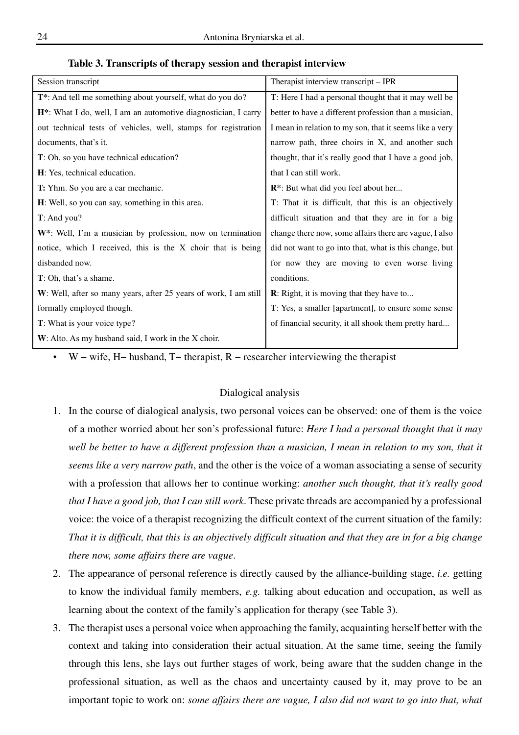|  |  |  | Table 3. Transcripts of therapy session and therapist interview |
|--|--|--|-----------------------------------------------------------------|
|  |  |  |                                                                 |

| Session transcript                                                          | Therapist interview transcript – IPR                    |  |  |
|-----------------------------------------------------------------------------|---------------------------------------------------------|--|--|
| T*: And tell me something about yourself, what do you do?                   | T: Here I had a personal thought that it may well be    |  |  |
| H <sup>*</sup> : What I do, well, I am an automotive diagnostician, I carry | better to have a different profession than a musician,  |  |  |
| out technical tests of vehicles, well, stamps for registration              | I mean in relation to my son, that it seems like a very |  |  |
| documents, that's it.                                                       | narrow path, three choirs in X, and another such        |  |  |
| T: Oh, so you have technical education?                                     | thought, that it's really good that I have a good job,  |  |  |
| H: Yes, technical education.                                                | that I can still work.                                  |  |  |
| T: Yhm. So you are a car mechanic.                                          | R <sup>*</sup> : But what did you feel about her        |  |  |
| H: Well, so you can say, something in this area.                            | T: That it is difficult, that this is an objectively    |  |  |
| $T:$ And you?                                                               | difficult situation and that they are in for a big      |  |  |
| $W^*$ : Well, I'm a musician by profession, now on termination              | change there now, some affairs there are vague, I also  |  |  |
| notice, which I received, this is the X choir that is being                 | did not want to go into that, what is this change, but  |  |  |
| disbanded now.                                                              | for now they are moving to even worse living            |  |  |
| T: Oh, that's a shame.                                                      | conditions.                                             |  |  |
| W: Well, after so many years, after 25 years of work, I am still            | <b>R</b> : Right, it is moving that they have to        |  |  |
| formally employed though.                                                   | T: Yes, a smaller [apartment], to ensure some sense     |  |  |
| <b>T</b> : What is your voice type?                                         | of financial security, it all shook them pretty hard    |  |  |
| W: Alto. As my husband said, I work in the X choir.                         |                                                         |  |  |

• W − wife, H− husband, T− therapist, R − researcher interviewing the therapist

### Dialogical analysis

- 1. In the course of dialogical analysis, two personal voices can be observed: one of them is the voice of a mother worried about her son's professional future: *Here I had a personal thought that it may*  well be better to have a different profession than a musician, I mean in relation to my son, that it *seems like a very narrow path*, and the other is the voice of a woman associating a sense of security with a profession that allows her to continue working: *another such thought, that it's really good that I have a good job, that I can still work*. These private threads are accompanied by a professional voice: the voice of a therapist recognizing the difficult context of the current situation of the family: *That it is difficult, that this is an objectively difficult situation and that they are in for a big change there now, some affairs there are vague*.
- 2. The appearance of personal reference is directly caused by the alliance-building stage, *i.e.* getting to know the individual family members, *e.g.* talking about education and occupation, as well as learning about the context of the family's application for therapy (see Table 3).
- 3. The therapist uses a personal voice when approaching the family, acquainting herself better with the context and taking into consideration their actual situation. At the same time, seeing the family through this lens, she lays out further stages of work, being aware that the sudden change in the professional situation, as well as the chaos and uncertainty caused by it, may prove to be an important topic to work on: *some affairs there are vague, I also did not want to go into that, what*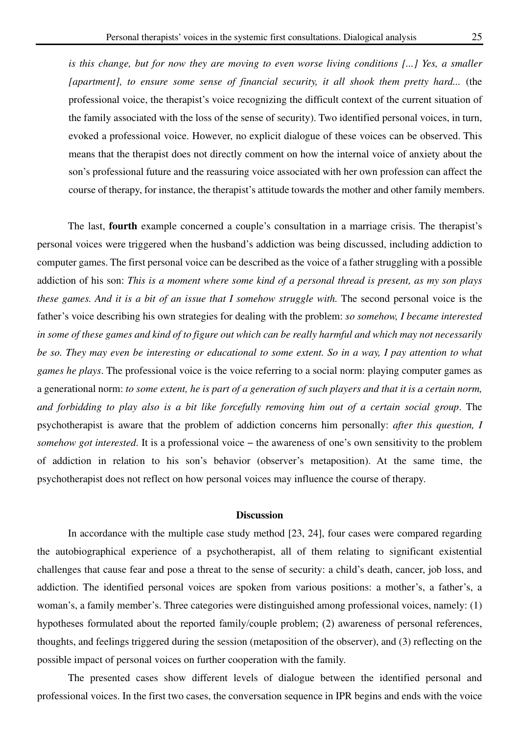*is this change, but for now they are moving to even worse living conditions [...] Yes, a smaller [apartment], to ensure some sense of financial security, it all shook them pretty hard...* (the professional voice, the therapist's voice recognizing the difficult context of the current situation of the family associated with the loss of the sense of security). Two identified personal voices, in turn, evoked a professional voice. However, no explicit dialogue of these voices can be observed. This means that the therapist does not directly comment on how the internal voice of anxiety about the son's professional future and the reassuring voice associated with her own profession can affect the course of therapy, for instance, the therapist's attitude towards the mother and other family members.

The last, **fourth** example concerned a couple's consultation in a marriage crisis. The therapist's personal voices were triggered when the husband's addiction was being discussed, including addiction to computer games. The first personal voice can be described as the voice of a father struggling with a possible addiction of his son: *This is a moment where some kind of a personal thread is present, as my son plays these games. And it is a bit of an issue that I somehow struggle with.* The second personal voice is the father's voice describing his own strategies for dealing with the problem: *so somehow, I became interested in some of these games and kind of to figure out which can be really harmful and which may not necessarily be so. They may even be interesting or educational to some extent. So in a way, I pay attention to what games he plays*. The professional voice is the voice referring to a social norm: playing computer games as a generational norm: *to some extent, he is part of a generation of such players and that it is a certain norm, and forbidding to play also is a bit like forcefully removing him out of a certain social group*. The psychotherapist is aware that the problem of addiction concerns him personally: *after this question, I somehow got interested*. It is a professional voice – the awareness of one's own sensitivity to the problem of addiction in relation to his son's behavior (observer's metaposition). At the same time, the psychotherapist does not reflect on how personal voices may influence the course of therapy.

## **Discussion**

In accordance with the multiple case study method [23, 24], four cases were compared regarding the autobiographical experience of a psychotherapist, all of them relating to significant existential challenges that cause fear and pose a threat to the sense of security: a child's death, cancer, job loss, and addiction. The identified personal voices are spoken from various positions: a mother's, a father's, a woman's, a family member's. Three categories were distinguished among professional voices, namely: (1) hypotheses formulated about the reported family/couple problem; (2) awareness of personal references, thoughts, and feelings triggered during the session (metaposition of the observer), and (3) reflecting on the possible impact of personal voices on further cooperation with the family.

The presented cases show different levels of dialogue between the identified personal and professional voices. In the first two cases, the conversation sequence in IPR begins and ends with the voice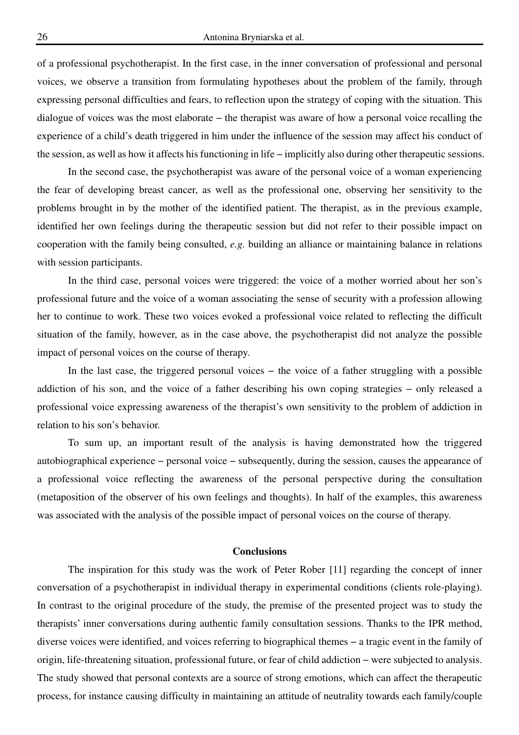of a professional psychotherapist. In the first case, in the inner conversation of professional and personal voices, we observe a transition from formulating hypotheses about the problem of the family, through expressing personal difficulties and fears, to reflection upon the strategy of coping with the situation. This dialogue of voices was the most elaborate − the therapist was aware of how a personal voice recalling the experience of a child's death triggered in him under the influence of the session may affect his conduct of the session, as well as how it affects his functioning in life − implicitly also during other therapeutic sessions.

In the second case, the psychotherapist was aware of the personal voice of a woman experiencing the fear of developing breast cancer, as well as the professional one, observing her sensitivity to the problems brought in by the mother of the identified patient. The therapist, as in the previous example, identified her own feelings during the therapeutic session but did not refer to their possible impact on cooperation with the family being consulted, *e.g.* building an alliance or maintaining balance in relations with session participants.

In the third case, personal voices were triggered: the voice of a mother worried about her son's professional future and the voice of a woman associating the sense of security with a profession allowing her to continue to work. These two voices evoked a professional voice related to reflecting the difficult situation of the family, however, as in the case above, the psychotherapist did not analyze the possible impact of personal voices on the course of therapy.

In the last case, the triggered personal voices − the voice of a father struggling with a possible addiction of his son, and the voice of a father describing his own coping strategies − only released a professional voice expressing awareness of the therapist's own sensitivity to the problem of addiction in relation to his son's behavior.

To sum up, an important result of the analysis is having demonstrated how the triggered autobiographical experience − personal voice − subsequently, during the session, causes the appearance of a professional voice reflecting the awareness of the personal perspective during the consultation (metaposition of the observer of his own feelings and thoughts). In half of the examples, this awareness was associated with the analysis of the possible impact of personal voices on the course of therapy.

### **Conclusions**

The inspiration for this study was the work of Peter Rober [11] regarding the concept of inner conversation of a psychotherapist in individual therapy in experimental conditions (clients role-playing). In contrast to the original procedure of the study, the premise of the presented project was to study the therapists' inner conversations during authentic family consultation sessions. Thanks to the IPR method, diverse voices were identified, and voices referring to biographical themes − a tragic event in the family of origin, life-threatening situation, professional future, or fear of child addiction − were subjected to analysis. The study showed that personal contexts are a source of strong emotions, which can affect the therapeutic process, for instance causing difficulty in maintaining an attitude of neutrality towards each family/couple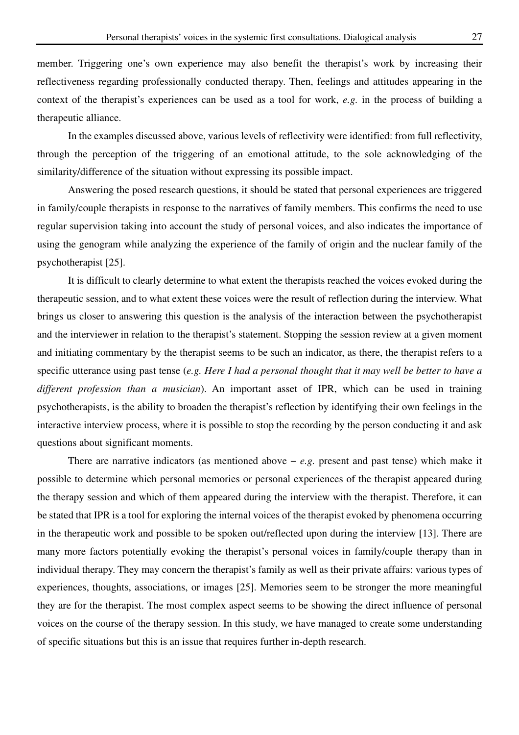member. Triggering one's own experience may also benefit the therapist's work by increasing their reflectiveness regarding professionally conducted therapy. Then, feelings and attitudes appearing in the context of the therapist's experiences can be used as a tool for work, *e.g.* in the process of building a therapeutic alliance.

In the examples discussed above, various levels of reflectivity were identified: from full reflectivity, through the perception of the triggering of an emotional attitude, to the sole acknowledging of the similarity/difference of the situation without expressing its possible impact.

Answering the posed research questions, it should be stated that personal experiences are triggered in family/couple therapists in response to the narratives of family members. This confirms the need to use regular supervision taking into account the study of personal voices, and also indicates the importance of using the genogram while analyzing the experience of the family of origin and the nuclear family of the psychotherapist [25].

It is difficult to clearly determine to what extent the therapists reached the voices evoked during the therapeutic session, and to what extent these voices were the result of reflection during the interview. What brings us closer to answering this question is the analysis of the interaction between the psychotherapist and the interviewer in relation to the therapist's statement. Stopping the session review at a given moment and initiating commentary by the therapist seems to be such an indicator, as there, the therapist refers to a specific utterance using past tense (*e.g. Here I had a personal thought that it may well be better to have a different profession than a musician*). An important asset of IPR, which can be used in training psychotherapists, is the ability to broaden the therapist's reflection by identifying their own feelings in the interactive interview process, where it is possible to stop the recording by the person conducting it and ask questions about significant moments.

There are narrative indicators (as mentioned above − *e.g.* present and past tense) which make it possible to determine which personal memories or personal experiences of the therapist appeared during the therapy session and which of them appeared during the interview with the therapist. Therefore, it can be stated that IPR is a tool for exploring the internal voices of the therapist evoked by phenomena occurring in the therapeutic work and possible to be spoken out/reflected upon during the interview [13]. There are many more factors potentially evoking the therapist's personal voices in family/couple therapy than in individual therapy. They may concern the therapist's family as well as their private affairs: various types of experiences, thoughts, associations, or images [25]. Memories seem to be stronger the more meaningful they are for the therapist. The most complex aspect seems to be showing the direct influence of personal voices on the course of the therapy session. In this study, we have managed to create some understanding of specific situations but this is an issue that requires further in-depth research.